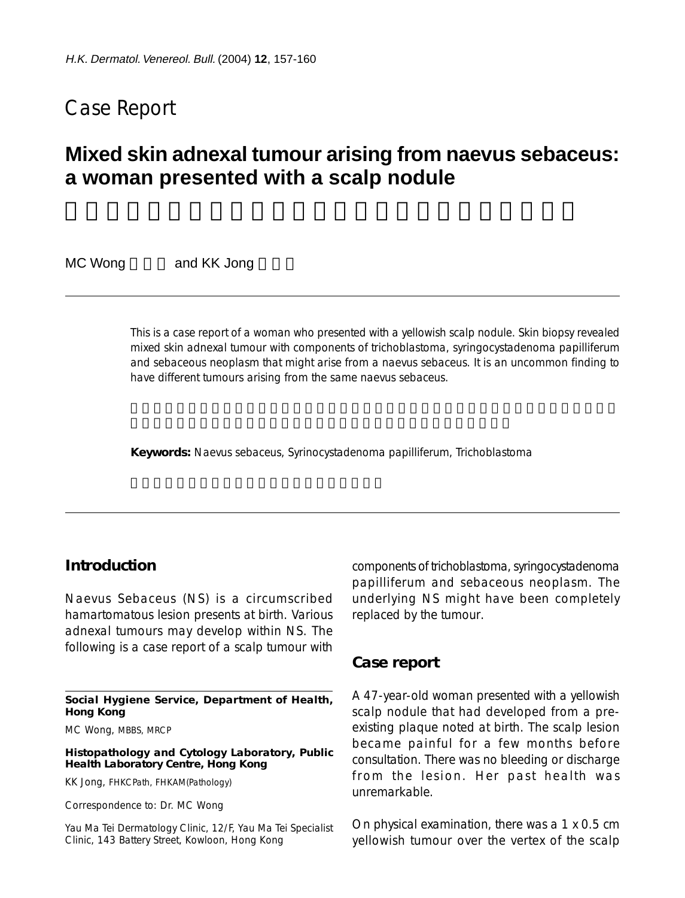## Case Report

# **Mixed skin adnexal tumour arising from naevus sebaceus: a woman presented with a scalp nodule**

MC Wong and KK Jong

This is a case report of a woman who presented with a yellowish scalp nodule. Skin biopsy revealed mixed skin adnexal tumour with components of trichoblastoma, syringocystadenoma papilliferum and sebaceous neoplasm that might arise from a naevus sebaceus. It is an uncommon finding to have different tumours arising from the same naevus sebaceus.

**Keywords:** Naevus sebaceus, Syrinocystadenoma papilliferum, Trichoblastoma

## **Introduction**

Naevus Sebaceus (NS) is a circumscribed hamartomatous lesion presents at birth. Various adnexal tumours may develop within NS. The following is a case report of a scalp tumour with

#### **Social Hygiene Service, Department of Health, Hong Kong**

MC Wong, MBBS, MRCP

**Histopathology and Cytology Laboratory, Public Health Laboratory Centre, Hong Kong**

KK Jong, FHKCPath, FHKAM(Pathology)

Correspondence to: Dr. MC Wong

Yau Ma Tei Dermatology Clinic, 12/F, Yau Ma Tei Specialist Clinic, 143 Battery Street, Kowloon, Hong Kong

components of trichoblastoma, syringocystadenoma papilliferum and sebaceous neoplasm. The underlying NS might have been completely replaced by the tumour.

### **Case report**

A 47-year-old woman presented with a yellowish scalp nodule that had developed from a preexisting plaque noted at birth. The scalp lesion became painful for a few months before consultation. There was no bleeding or discharge from the lesion. Her past health was unremarkable.

On physical examination, there was a 1 x 0.5 cm yellowish tumour over the vertex of the scalp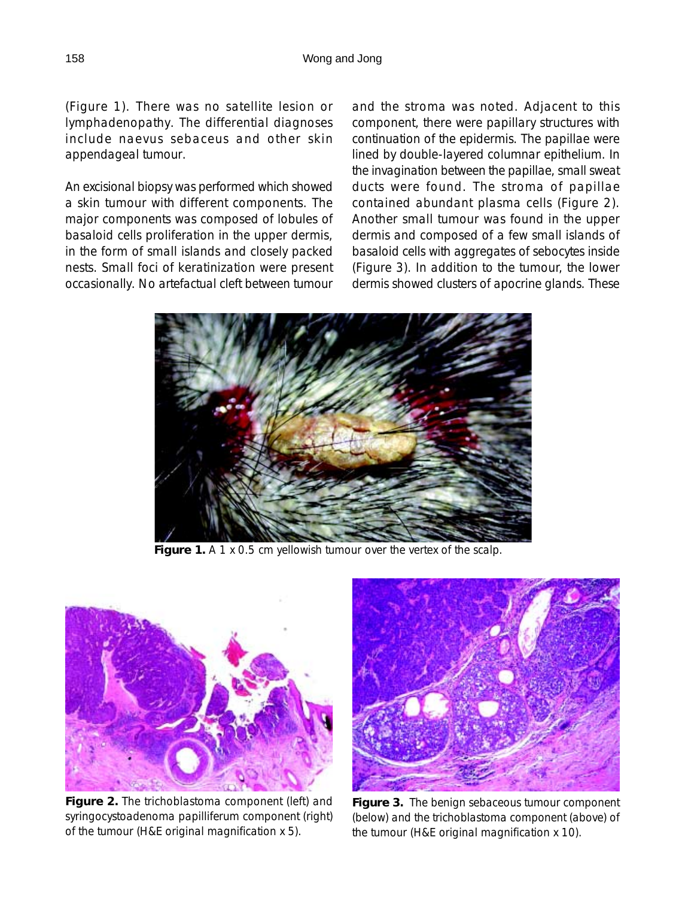(Figure 1). There was no satellite lesion or lymphadenopathy. The differential diagnoses include naevus sebaceus and other skin appendageal tumour.

An excisional biopsy was performed which showed a skin tumour with different components. The major components was composed of lobules of basaloid cells proliferation in the upper dermis, in the form of small islands and closely packed nests. Small foci of keratinization were present occasionally. No artefactual cleft between tumour and the stroma was noted. Adjacent to this component, there were papillary structures with continuation of the epidermis. The papillae were lined by double-layered columnar epithelium. In the invagination between the papillae, small sweat ducts were found. The stroma of papillae contained abundant plasma cells (Figure 2). Another small tumour was found in the upper dermis and composed of a few small islands of basaloid cells with aggregates of sebocytes inside (Figure 3). In addition to the tumour, the lower dermis showed clusters of apocrine glands. These



**Figure 1.** A 1 x 0.5 cm yellowish tumour over the vertex of the scalp.



**Figure 2.** The trichoblastoma component (left) and syringocystoadenoma papilliferum component (right) of the tumour (H&E original magnification x 5).



**Figure 3.** The benign sebaceous tumour component (below) and the trichoblastoma component (above) of the tumour (H&E original magnification x 10).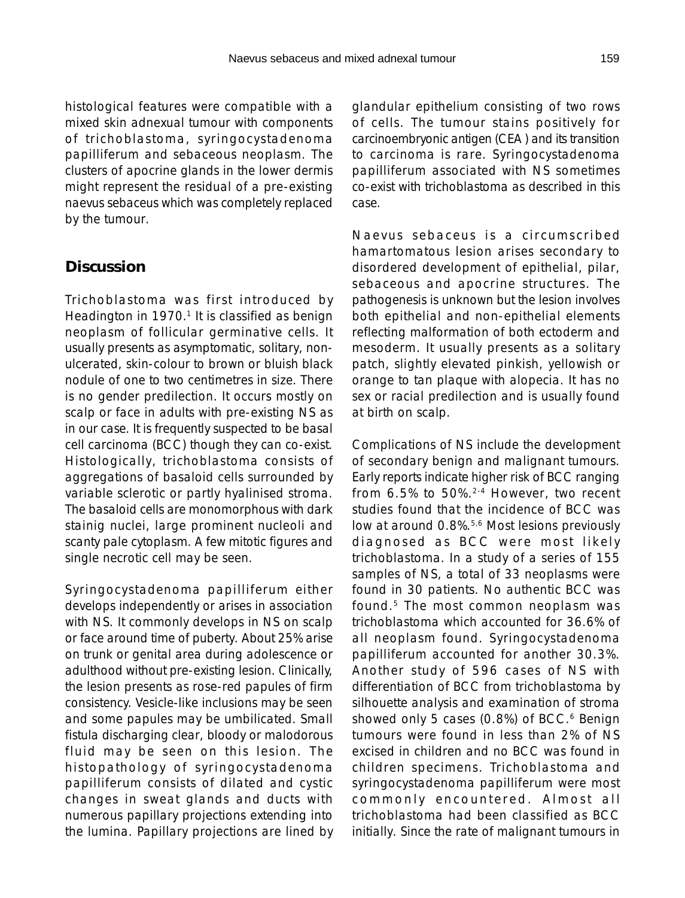histological features were compatible with a mixed skin adnexual tumour with components of trichoblastoma, syringocystadenoma papilliferum and sebaceous neoplasm. The clusters of apocrine glands in the lower dermis might represent the residual of a pre-existing naevus sebaceus which was completely replaced by the tumour.

## **Discussion**

Trichoblastoma was first introduced by Headington in  $1970.<sup>1</sup>$  It is classified as benign neoplasm of follicular germinative cells. It usually presents as asymptomatic, solitary, nonulcerated, skin-colour to brown or bluish black nodule of one to two centimetres in size. There is no gender predilection. It occurs mostly on scalp or face in adults with pre-existing NS as in our case. It is frequently suspected to be basal cell carcinoma (BCC) though they can co-exist. Histologically, trichoblastoma consists of aggregations of basaloid cells surrounded by variable sclerotic or partly hyalinised stroma. The basaloid cells are monomorphous with dark stainig nuclei, large prominent nucleoli and scanty pale cytoplasm. A few mitotic figures and single necrotic cell may be seen.

Syringocystadenoma papilliferum either develops independently or arises in association with NS. It commonly develops in NS on scalp or face around time of puberty. About 25% arise on trunk or genital area during adolescence or adulthood without pre-existing lesion. Clinically, the lesion presents as rose-red papules of firm consistency. Vesicle-like inclusions may be seen and some papules may be umbilicated. Small fistula discharging clear, bloody or malodorous fluid may be seen on this lesion. The histopathology of syringocystadenoma papilliferum consists of dilated and cystic changes in sweat glands and ducts with numerous papillary projections extending into the lumina. Papillary projections are lined by glandular epithelium consisting of two rows of cells. The tumour stains positively for carcinoembryonic antigen (CEA ) and its transition to carcinoma is rare. Syringocystadenoma papilliferum associated with NS sometimes co-exist with trichoblastoma as described in this case.

Naevus sebaceus is a circumscribed hamartomatous lesion arises secondary to disordered development of epithelial, pilar, sebaceous and apocrine structures. The pathogenesis is unknown but the lesion involves both epithelial and non-epithelial elements reflecting malformation of both ectoderm and mesoderm. It usually presents as a solitary patch, slightly elevated pinkish, yellowish or orange to tan plaque with alopecia. It has no sex or racial predilection and is usually found at birth on scalp.

Complications of NS include the development of secondary benign and malignant tumours. Early reports indicate higher risk of BCC ranging from 6.5% to 50%.2-4 However, two recent studies found that the incidence of BCC was low at around 0.8%.<sup>5,6</sup> Most lesions previously diagnosed as BCC were most likely trichoblastoma. In a study of a series of 155 samples of NS, a total of 33 neoplasms were found in 30 patients. No authentic BCC was found.5 The most common neoplasm was trichoblastoma which accounted for 36.6% of all neoplasm found. Syringocystadenoma papilliferum accounted for another 30.3%. Another study of 596 cases of NS with differentiation of BCC from trichoblastoma by silhouette analysis and examination of stroma showed only 5 cases  $(0.8%)$  of BCC. $6$  Benign tumours were found in less than 2% of NS excised in children and no BCC was found in children specimens. Trichoblastoma and syringocystadenoma papilliferum were most commonly encountered. Almost all trichoblastoma had been classified as BCC initially. Since the rate of malignant tumours in